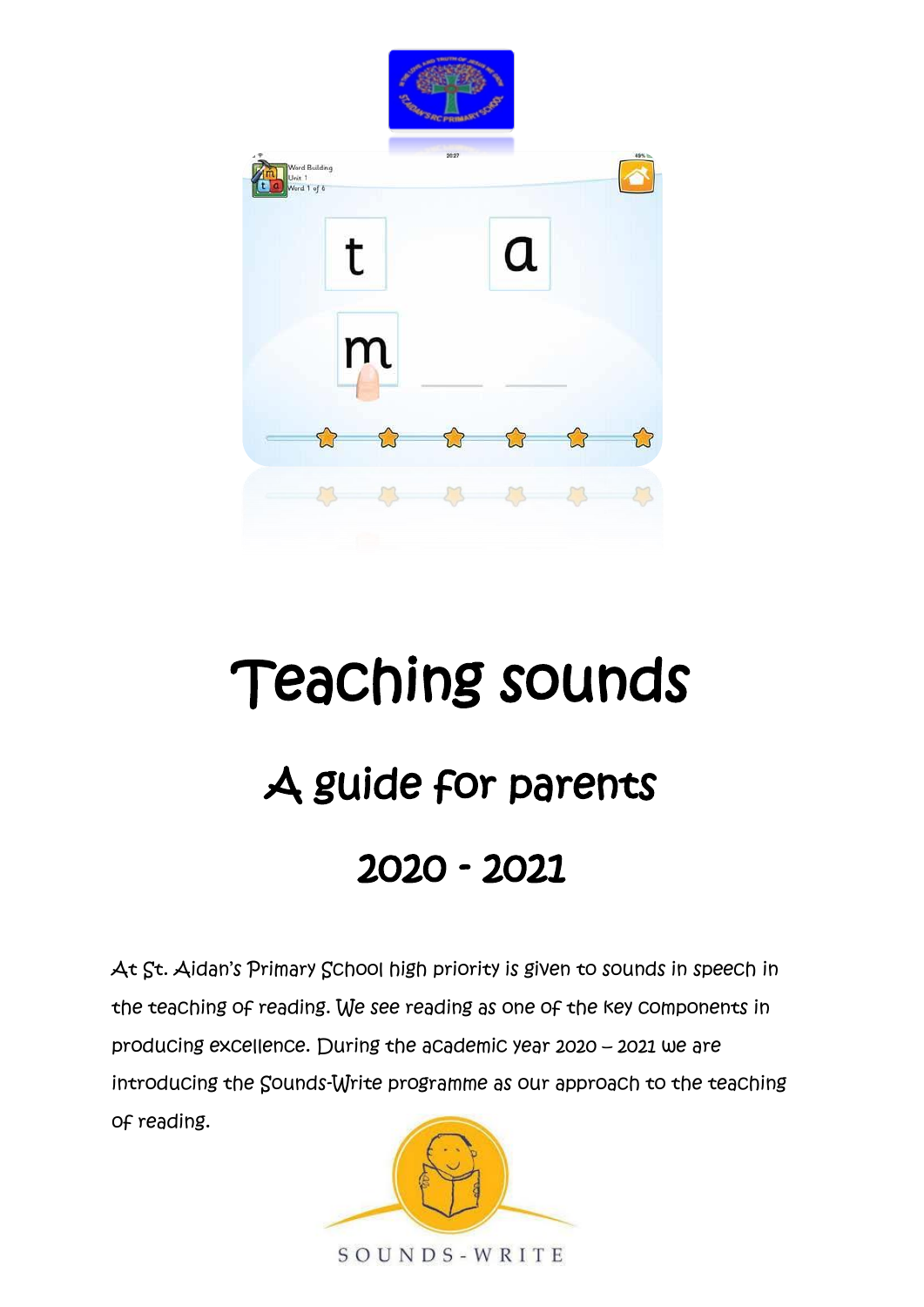

# Teaching sounds A guide for parents 2020 - 2021

At St. Aidan's Primary School high priority is given to sounds in speech in the teaching of reading. We see reading as one of the key components in producing excellence. During the academic year 2020 – 2021 we are introducing the Sounds-Write programme as our approach to the teaching of reading.

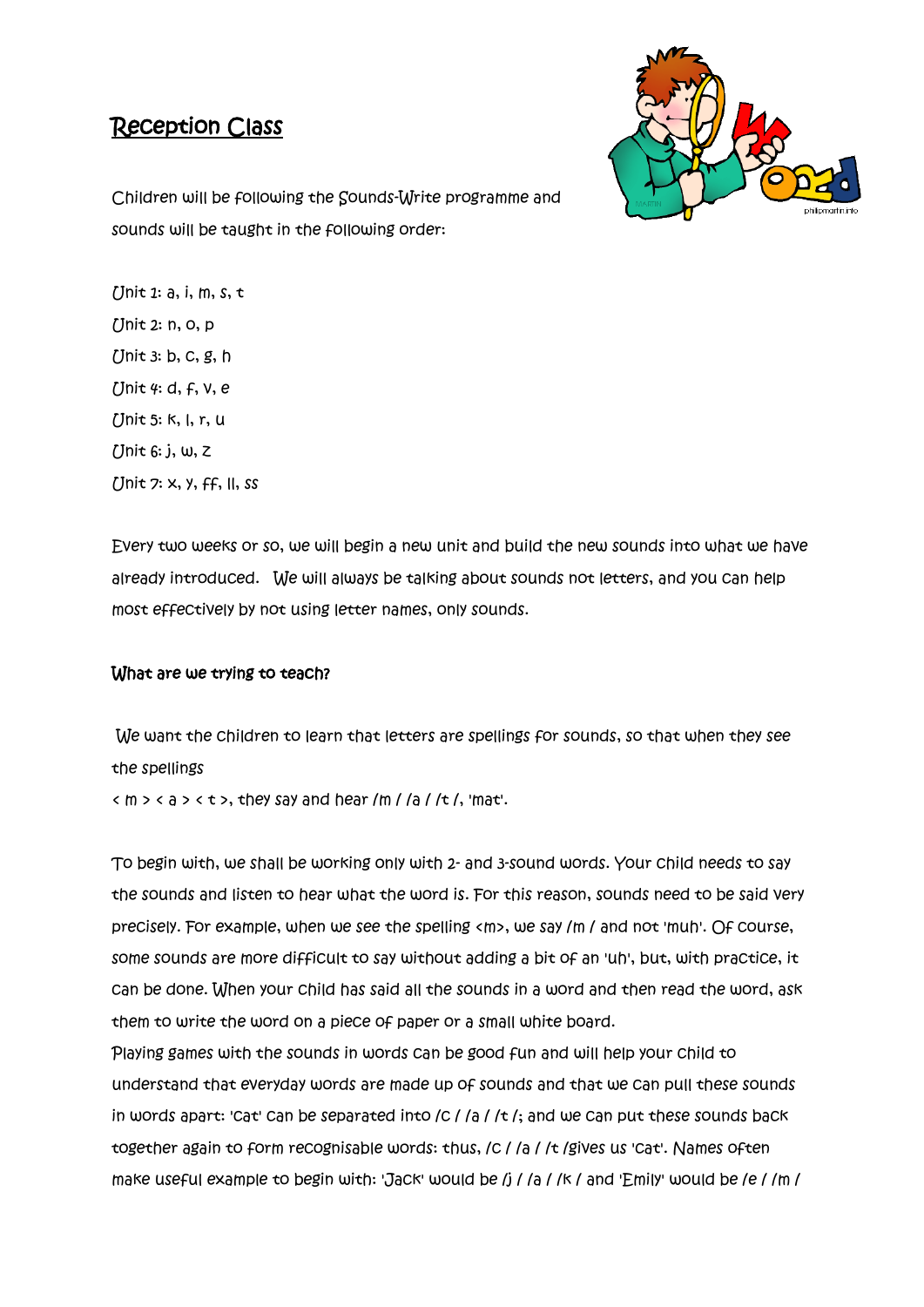## Reception Class



Children will be following the Sounds-Write programme and sounds will be taught in the following order:

 $[$  Jnit 1: a, i, m, s, t Unit 2: n, o, p Unit 3: b, c, g, h  $I$ Jnit 4: d, f,  $V, e$ Unit 5: k, l, r, u Unit 6: j, w, z Unit 7: x, y, ff, ll, ss

Every two weeks or so, we will begin a new unit and build the new sounds into what we have already introduced. We will always be talking about sounds not letters, and you can help most effectively by not using letter names, only sounds.

### What are we trying to teach?

We want the children to learn that letters are spellings for sounds, so that when they see the spellings

 $(m > q > t >$ , they say and hear /m / /a / /t /, 'mat'.

To begin with, we shall be working only with 2- and 3-sound words. Your child needs to say the sounds and listen to hear what the word is. For this reason, sounds need to be said very precisely. For example, when we see the spelling <m>>
sey /m / and not 'muh'. Of course, some sounds are more difficult to say without adding a bit of an 'uh', but, with practice, it can be done. When your child has said all the sounds in a word and then read the word, ask them to write the word on a piece of paper or a small white board.

Playing games with the sounds in words can be good fun and will help your child to understand that everyday words are made up of sounds and that we can pull these sounds in words apart: 'Cat' Can be separated into  $/C$  /  $a$  /  $t$  /; and we Can put these sounds back together again to form recognisable words: thus, IC I Ia I It Igives us 'Cat'. Names often make useful example to begin with: 'Jack' would be /j / /a / /k / and 'Emily' would be /e / /m /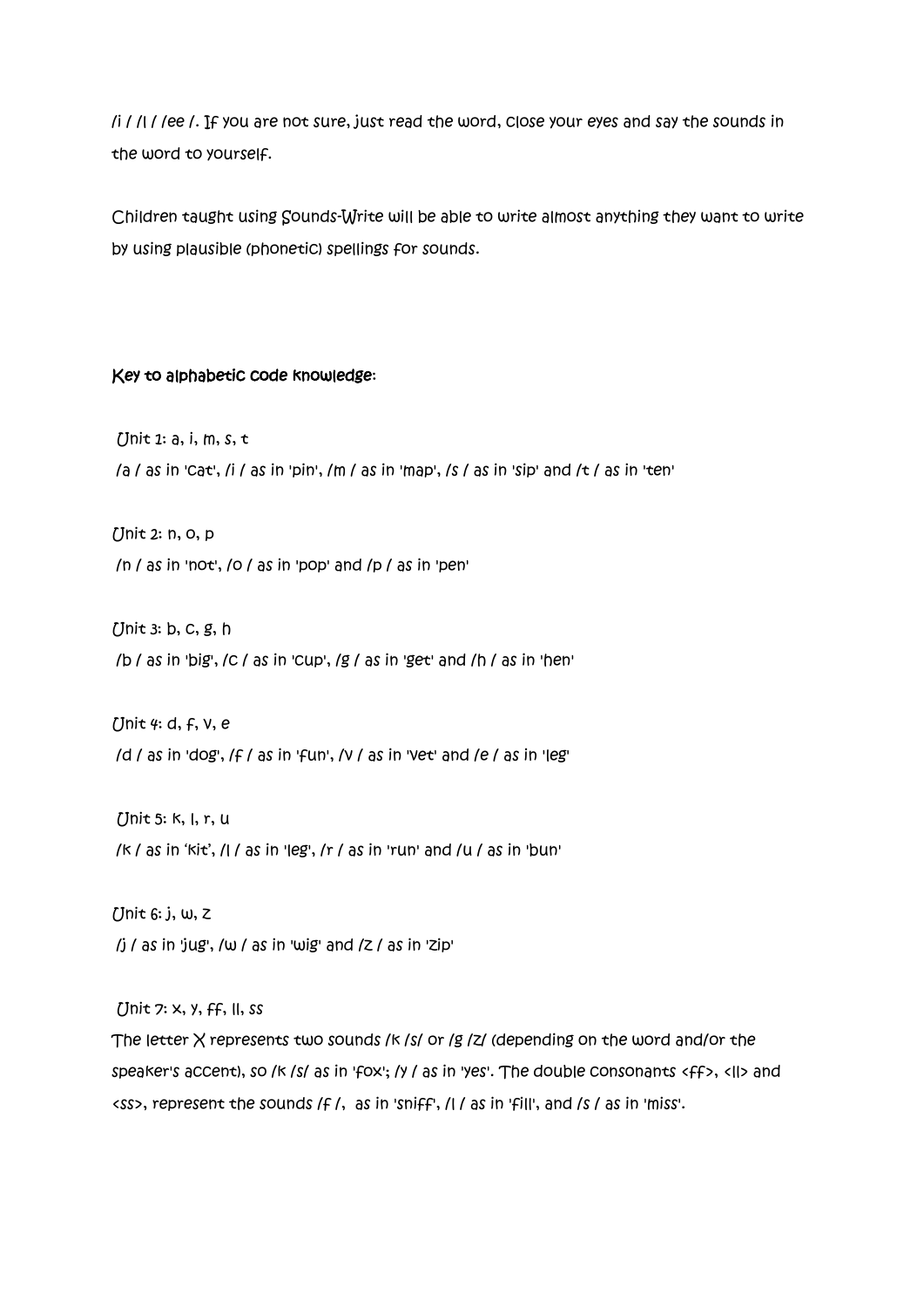/i / /l / /ee /. If you are not sure, just read the word, close your eyes and say the sounds in the word to yourself.

Children taught using Sounds-Write will be able to write almost anything they want to write by using plausible (phonetic) spellings for sounds.

#### Key to alphabetic code knowledge:

 $[$  Jnit 1: a, i, m, s, t  $/$ a  $/$ as in 'Cat',  $/$ i  $/$  as in 'pin',  $/$ m  $/$  as in 'map',  $/$ s  $/$  as in 'sip' and  $/$ t  $/$  as in 'ten'

Unit 2: n, o, p /n / as in 'not', /o / as in 'pop' and /p / as in 'pen'

Unit 3: b, c, g, h /b / as in 'big', /c / as in 'cup', /g / as in 'get' and /h / as in 'hen'

Unit 4: d, f, v, e /d / as in 'dog', /f / as in 'fun', /v / as in 'vet' and /e / as in 'leg'

Unit 5: k, l, r, u /k / as in 'kit', /l / as in 'leg', /r / as in 'run' and /u / as in 'bun'

Unit 6: j, w, z  $\pi$  /j / as in 'jug', /w / as in 'wig' and  $\pi$  / as in 'zip'

Unit 7: x, y, ff, ll, ss

The letter  $X$  represents two sounds /k /s/ or /g /z/ (depending on the word and/or the speaker's accent), so /k /s/ as in 'fox'; /y / as in 'yes'. The double consonants <ff>, <ll> and <ss>, represent the sounds /f /, as in 'sniff', /l / as in 'fill', and /s / as in 'miss'.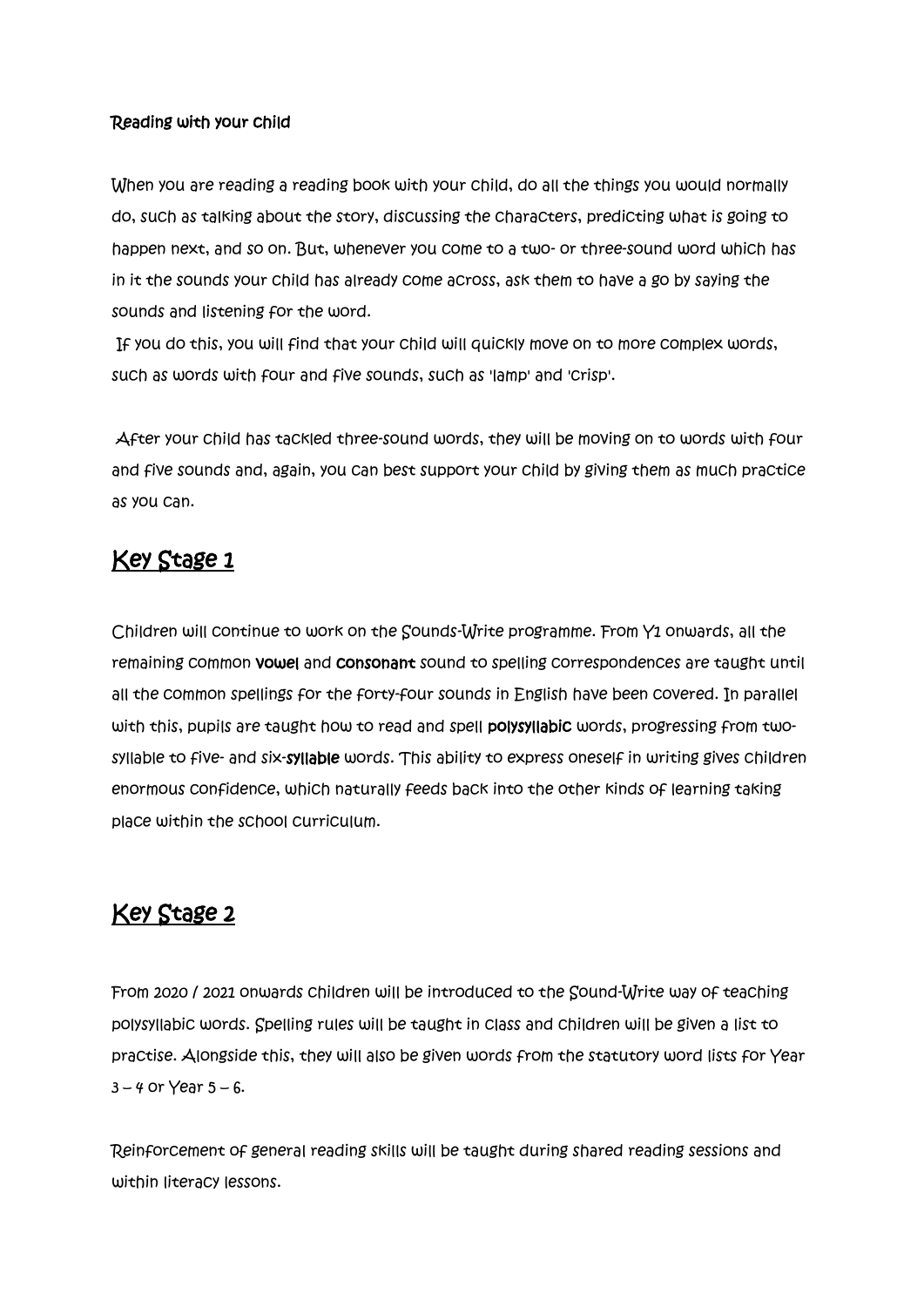### Reading with your child

When you are reading a reading book with your child, do all the things you would normally do, such as talking about the story, discussing the characters, predicting what is going to happen next, and so on. But, whenever you come to a two- or three-sound word which has in it the sounds your child has already come across, ask them to have a go by saying the sounds and listening for the word.

If you do this, you will find that your child will quickly move on to more complex words, such as words with four and five sounds, such as 'lamp' and 'crisp'.

After your child has tackled three-sound words, they will be moving on to words with four and five sounds and, again, you can best support your child by giving them as much practice as you can.

## Key Stage 1

Children will continue to work on the Sounds-Write programme. From Y1 onwards, all the remaining common vowel and consonant sound to spelling correspondences are taught until all the common spellings for the forty-four sounds in English have been covered. In parallel with this, pupils are taught how to read and spell polysyllabic words, progressing from twosyllable to five- and six-syllable words. This ability to express oneself in writing gives children enormous confidence, which naturally feeds back into the other kinds of learning taking place within the school curriculum.

## Key Stage 2

From 2020 / 2021 onwards children will be introduced to the Sound-Write way of teaching polysyllabic words. Spelling rules will be taught in class and children will be given a list to practise. Alongside this, they will also be given words from the statutory word lists for Year  $3 - 4$  or Year  $5 - 6$ .

Reinforcement of general reading skills will be taught during shared reading sessions and within literacy lessons.